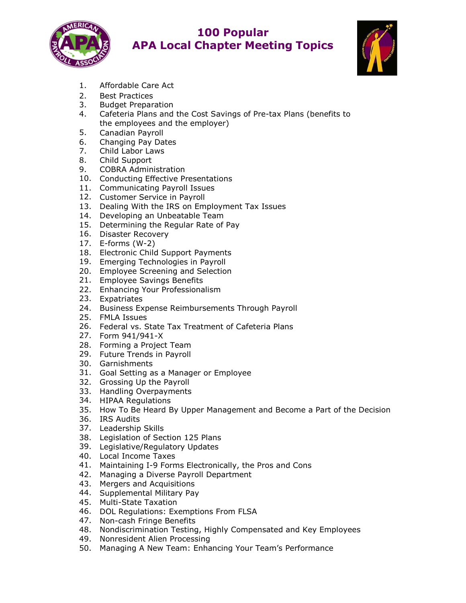

## **100 Popular APA Local Chapter Meeting Topics**



- 1. Affordable Care Act
- 2. Best Practices
- 3. Budget Preparation
- 4. Cafeteria Plans and the Cost Savings of Pre-tax Plans (benefits to the employees and the employer)
- 5. Canadian Payroll
- 6. Changing Pay Dates
- 7. Child Labor Laws
- 8. Child Support
- 9. COBRA Administration
- 10. Conducting Effective Presentations
- 11. Communicating Payroll Issues
- 12. Customer Service in Payroll
- 13. Dealing With the IRS on Employment Tax Issues
- 14. Developing an Unbeatable Team
- 15. Determining the Regular Rate of Pay
- 16. Disaster Recovery
- 17. E-forms (W-2)
- 18. Electronic Child Support Payments
- 19. Emerging Technologies in Payroll
- 20. Employee Screening and Selection
- 21. Employee Savings Benefits
- 22. Enhancing Your Professionalism
- 23. Expatriates
- 24. Business Expense Reimbursements Through Payroll
- 25. FMLA Issues
- 26. Federal vs. State Tax Treatment of Cafeteria Plans
- 27. Form 941/941-X
- 28. Forming a Project Team
- 29. Future Trends in Payroll
- 30. Garnishments
- 31. Goal Setting as a Manager or Employee
- 32. Grossing Up the Payroll
- 33. Handling Overpayments
- 34. HIPAA Regulations
- 35. How To Be Heard By Upper Management and Become a Part of the Decision
- 36. IRS Audits
- 37. Leadership Skills
- 38. Legislation of Section 125 Plans
- 39. Legislative/Regulatory Updates
- 40. Local Income Taxes
- 41. Maintaining I-9 Forms Electronically, the Pros and Cons
- 42. Managing a Diverse Payroll Department
- 43. Mergers and Acquisitions
- 44. Supplemental Military Pay
- 45. Multi-State Taxation
- 46. DOL Regulations: Exemptions From FLSA
- 47. Non-cash Fringe Benefits
- 48. Nondiscrimination Testing, Highly Compensated and Key Employees
- 49. Nonresident Alien Processing
- 50. Managing A New Team: Enhancing Your Team's Performance